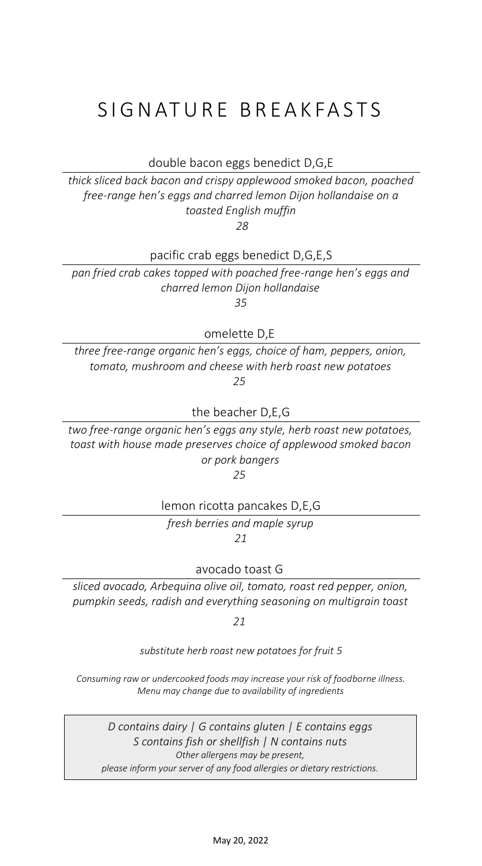## SIGNATURE BREAKFASTS

double bacon eggs benedict D,G,E

*thick sliced back bacon and crispy applewood smoked bacon, poached free-range hen's eggs and charred lemon Dijon hollandaise on a toasted English muffin*

*28*

pacific crab eggs benedict D,G,E,S

*pan fried crab cakes topped with poached free-range hen's eggs and charred lemon Dijon hollandaise* 

*35*

omelette D,E

*three free-range organic hen's eggs, choice of ham, peppers, onion, tomato, mushroom and cheese with herb roast new potatoes 25*

the beacher D,E,G

*two free-range organic hen's eggs any style, herb roast new potatoes, toast with house made preserves choice of applewood smoked bacon or pork bangers*

*25*

lemon ricotta pancakes D,E,G

*fresh berries and maple syrup 21*

avocado toast G

*sliced avocado, Arbequina olive oil, tomato, roast red pepper, onion, pumpkin seeds, radish and everything seasoning on multigrain toast* 

*21*

*substitute herb roast new potatoes for fruit 5*

*Consuming raw or undercooked foods may increase your risk of foodborne illness. Menu may change due to availability of ingredients*

*D contains dairy | G contains gluten | E contains eggs S contains fish or shellfish | N contains nuts Other allergens may be present, please inform your server of any food allergies or dietary restrictions.*